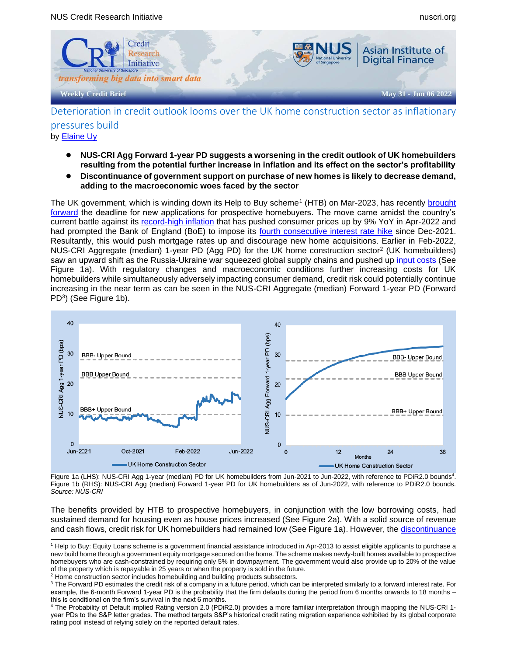

Deterioration in credit outlook looms over the UK home construction sector as inflationary pressures build by [Elaine Uy](mailto:elaineuy@u.nus.edu)

- **NUS-CRI Agg Forward 1-year PD suggests a worsening in the credit outlook of UK homebuilders resulting from the potential further increase in inflation and its effect on the sector's profitability**
- **Discontinuance of government support on purchase of new homes is likely to decrease demand, adding to the macroeconomic woes faced by the sector**

The UK government, which is winding down its Help to Buy scheme<sup>1</sup> (HTB) on Mar-2023, has recently <u>brought</u> [forward](https://www.ft.com/content/5b7d203a-449e-4ec6-8a40-b253776f2a60) the deadline for new applications for prospective homebuyers. The move came amidst the country's current battle against its [record-high inflation](https://www.wsj.com/articles/u-k-inflation-hits-40-year-high-putting-government-on-defensive-11652866547) that has pushed consumer prices up by 9% YoY in Apr-2022 and had prompted the Bank of England (BoE) to impose its [fourth consecutive interest rate hike](https://www.reuters.com/business/bank-england-hikes-rates-clamour-contain-spiralling-inflation-2022-02-03/) since Dec-2021. Resultantly, this would push mortgage rates up and discourage new home acquisitions. Earlier in Feb-2022, NUS-CRI Aggregate (median) 1-year PD (Agg PD) for the UK home construction sector<sup>2</sup> (UK homebuilders) saw an upward shift as the Russia-Ukraine war squeezed global supply chains and pushed up [input costs](https://www.constructionnews.co.uk/news/financial-news/ukraine-conflict-could-halt-uk-projects-due-to-supply-chain-disruption-08-03-2022/) (See Figure 1a). With regulatory changes and macroeconomic conditions further increasing costs for UK homebuilders while simultaneously adversely impacting consumer demand, credit risk could potentially continue increasing in the near term as can be seen in the NUS-CRI Aggregate (median) Forward 1-year PD (Forward PD<sup>3</sup> ) (See Figure 1b).



Figure 1a (LHS): NUS-CRI Agg 1-year (median) PD for UK homebuilders from Jun-2021 to Jun-2022, with reference to PDiR2.0 bounds<sup>4</sup>. Figure 1b (RHS): NUS-CRI Agg (median) Forward 1-year PD for UK homebuilders as of Jun-2022, with reference to PDiR2.0 bounds. *Source: NUS-CRI*

The benefits provided by HTB to prospective homebuyers, in conjunction with the low borrowing costs, had sustained demand for housing even as house prices increased (See Figure 2a). With a solid source of revenue and cash flows, credit risk for UK homebuilders had remained low (See Figure 1a). However, the [discontinuance](https://www.ft.com/content/5b7d203a-449e-4ec6-8a40-b253776f2a60)

<sup>&</sup>lt;sup>1</sup> Help to Buy: Equity Loans scheme is a government financial assistance introduced in Apr-2013 to assist eligible applicants to purchase a new build home through a government equity mortgage secured on the home. The scheme makes newly-built homes available to prospective homebuyers who are cash-constrained by requiring only 5% in downpayment. The government would also provide up to 20% of the value of the property which is repayable in 25 years or when the property is sold in the future.

<sup>&</sup>lt;sup>2</sup> Home construction sector includes homebuilding and building products subsectors.

<sup>&</sup>lt;sup>3</sup> The Forward PD estimates the credit risk of a company in a future period, which can be interpreted similarly to a forward interest rate. For example, the 6-month Forward 1-year PD is the probability that the firm defaults during the period from 6 months onwards to 18 months – this is conditional on the firm's survival in the next 6 months.

<sup>4</sup> The Probability of Default implied Rating version 2.0 (PDiR2.0) provides a more familiar interpretation through mapping the NUS-CRI 1 year PDs to the S&P letter grades. The method targets S&P's historical credit rating migration experience exhibited by its global corporate rating pool instead of relying solely on the reported default rates.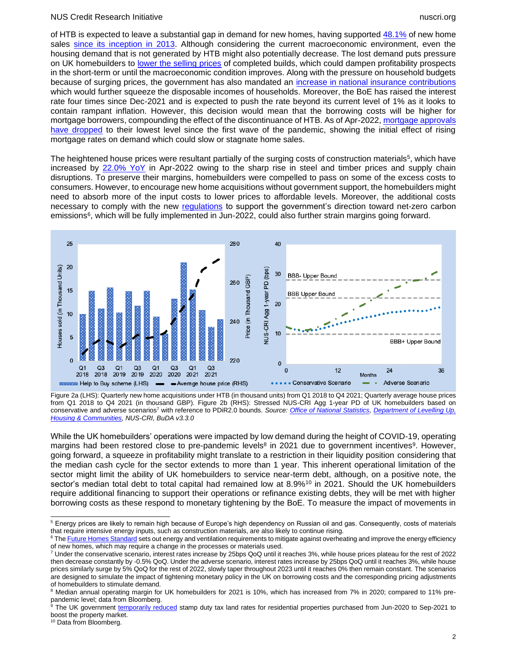#### NUS Credit Research Initiative nuscri.org nuscri.org nuscri.org nuscri.org nuscri.org nuscri.org nuscri.org nuscri

of HTB is expected to leave a substantial gap in demand for new homes, having supported [48.1%](https://www.gov.uk/government/statistics/help-to-buy-equity-loan-scheme-data-to-31-december-2021/help-to-buy-equity-loan-scheme-data-to-31-december-2021) of new home sales [since its inception in 2013.](https://www.gov.uk/government/statistical-data-sets/uk-house-price-index-data-downloads-december-2021) Although considering the current macroeconomic environment, even the housing demand that is not generated by HTB might also potentially decrease. The lost demand puts pressure on UK homebuilders to [lower the selling prices](https://www.ft.com/content/096ae78e-618d-4443-b8d9-5dd5a56db389) of completed builds, which could dampen profitability prospects in the short-term or until the macroeconomic condition improves. Along with the pressure on household budgets because of surging prices, the government has also mandated an [increase in national insurance contributions](https://www.bbc.com/news/business-60996174) which would further squeeze the disposable incomes of households. Moreover, the BoE has raised the interest rate four times since Dec-2021 and is expected to push the rate beyond its current level of 1% as it looks to contain rampant inflation. However, this decision would mean that the borrowing costs will be higher for mortgage borrowers, compounding the effect of the discontinuance of HTB. As of Apr-2022, [mortgage approvals](https://www.ft.com/content/654d001a-336d-40dc-bada-f3e6e12455de)  [have dropped](https://www.ft.com/content/654d001a-336d-40dc-bada-f3e6e12455de) to their lowest level since the first wave of the pandemic, showing the initial effect of rising mortgage rates on demand which could slow or stagnate home sales.

The heightened house prices were resultant partially of the surging costs of construction materials<sup>5</sup>, which have increased by [22.0% YoY](https://assets.publishing.service.gov.uk/government/uploads/system/uploads/attachment_data/file/1079453/22-cs6_-_Construction_Building_Materials_-_Commentary_May_2022.pdf) in Apr-2022 owing to the sharp rise in steel and timber prices and supply chain disruptions. To preserve their margins, homebuilders were compelled to pass on some of the excess costs to consumers. However, to encourage new home acquisitions without government support, the homebuilders might need to absorb more of the input costs to lower prices to affordable levels. Moreover, the additional costs necessary to comply with the new [regulations](https://www.gov.uk/government/news/new-homes-to-produce-nearly-a-third-less-carbon) to support the government's direction toward net-zero carbon emissions<sup>6</sup>, which will be fully implemented in Jun-2022, could also further strain margins going forward.



Figure 2a (LHS): Quarterly new home acquisitions under HTB (in thousand units) from Q1 2018 to Q4 2021; Quarterly average house prices from Q1 2018 to Q4 2021 (in thousand GBP). Figure 2b (RHS): Stressed NUS-CRI Agg 1-year PD of UK homebuilders based on conservative and adverse scenarios<sup>7</sup> with reference to PDiR2.0 bounds. Source: *Office of National Statistics, [Department of Levelling](https://www.gov.uk/government/statistics/help-to-buy-equity-loan-scheme-data-to-31-december-2021/help-to-buy-equity-loan-scheme-data-to-31-december-2021) Up*, *[Housing & Communities,](https://www.gov.uk/government/statistics/help-to-buy-equity-loan-scheme-data-to-31-december-2021/help-to-buy-equity-loan-scheme-data-to-31-december-2021) NUS-CRI, BuDA v3.3.0*

While the UK homebuilders' operations were impacted by low demand during the height of COVID-19, operating margins had been restored close to pre-pandemic levels<sup>8</sup> in 2021 due to government incentives<sup>9</sup>. However, going forward, a squeeze in profitability might translate to a restriction in their liquidity position considering that the median cash cycle for the sector extends to more than 1 year. This inherent operational limitation of the sector might limit the ability of UK homebuilders to service near-term debt, although, on a positive note, the sector's median total debt to total capital had remained low at  $8.9\%$ <sup>10</sup> in 2021. Should the UK homebuilders require additional financing to support their operations or refinance existing debts, they will be met with higher borrowing costs as these respond to monetary tightening by the BoE. To measure the impact of movements in

<sup>&</sup>lt;sup>5</sup> Energy prices are likely to remain high because of Europe's high dependency on Russian oil and gas. Consequently, costs of materials that require intensive energy inputs, such as construction materials, are also likely to continue rising.

<sup>&</sup>lt;sup>6</sup> The **Future Homes Standard** sets out energy and ventilation requirements to mitigate against overheating and improve the energy efficiency of new homes, which may require a change in the processes or materials used.

<sup>7</sup> Under the conservative scenario, interest rates increase by 25bps QoQ until it reaches 3%, while house prices plateau for the rest of 2022 then decrease constantly by -0.5% QoQ. Under the adverse scenario, interest rates increase by 25bps QoQ until it reaches 3%, while house prices similarly surge by 5% QoQ for the rest of 2022, slowly taper throughout 2023 until it reaches 0% then remain constant. The scenarios are designed to simulate the impact of tightening monetary policy in the UK on borrowing costs and the corresponding pricing adjustments of homebuilders to stimulate demand.

<sup>&</sup>lt;sup>8</sup> Median annual operating margin for UK homebuilders for 2021 is 10%, which has increased from 7% in 2020; compared to 11% prepandemic level; data from Bloomberg.

<sup>&</sup>lt;sup>9</sup> The UK government [temporarily reduced](https://www.gov.uk/guidance/stamp-duty-land-tax-temporary-reduced-rates) stamp duty tax land rates for residential properties purchased from Jun-2020 to Sep-2021 to boost the property market.

<sup>&</sup>lt;sup>10</sup> Data from Bloomberg.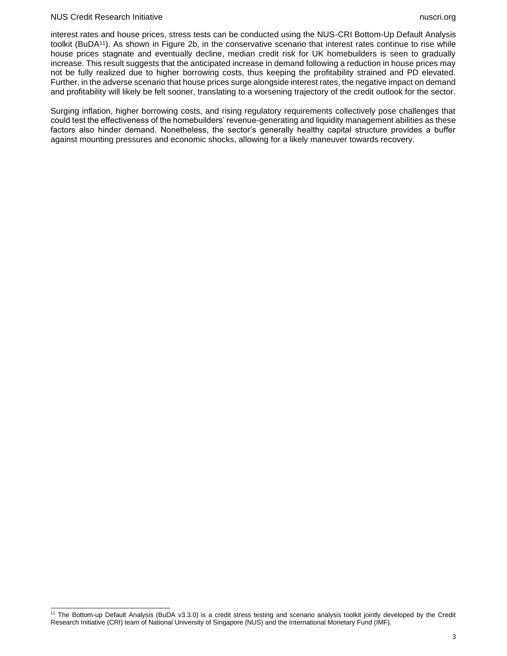#### NUS Credit Research Initiative nuscri.org nuscri.org nuscri.org nuscri.org nuscri.org nuscri.org nuscri.org nuscri

interest rates and house prices, stress tests can be conducted using the NUS-CRI Bottom-Up Default Analysis toolkit (BuDA<sup>11</sup>). As shown in Figure 2b, in the conservative scenario that interest rates continue to rise while house prices stagnate and eventually decline, median credit risk for UK homebuilders is seen to gradually increase. This result suggests that the anticipated increase in demand following a reduction in house prices may not be fully realized due to higher borrowing costs, thus keeping the profitability strained and PD elevated. Further, in the adverse scenario that house prices surge alongside interest rates, the negative impact on demand and profitability will likely be felt sooner, translating to a worsening trajectory of the credit outlook for the sector.

Surging inflation, higher borrowing costs, and rising regulatory requirements collectively pose challenges that could test the effectiveness of the homebuilders' revenue-generating and liquidity management abilities as these factors also hinder demand. Nonetheless, the sector's generally healthy capital structure provides a buffer against mounting pressures and economic shocks, allowing for a likely maneuver towards recovery.

<sup>&</sup>lt;sup>11</sup> The Bottom-up Default Analysis (BuDA v3.3.0) is a credit stress testing and scenario analysis toolkit jointly developed by the Credit Research Initiative (CRI) team of National University of Singapore (NUS) and the International Monetary Fund (IMF).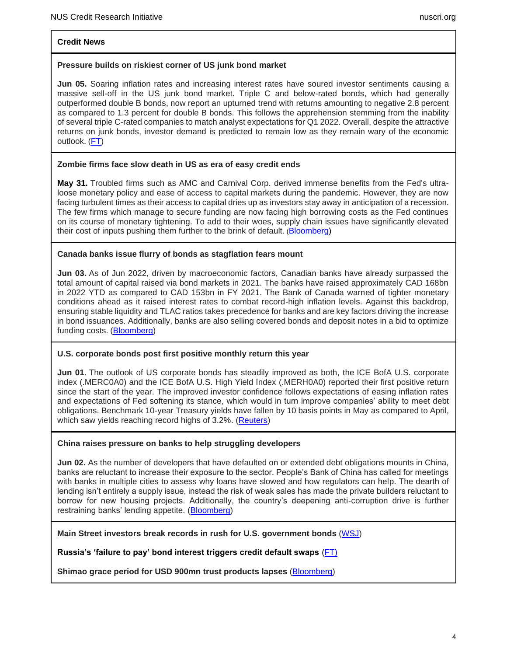# **Credit News**

# **Pressure builds on riskiest corner of US junk bond market**

**Jun 05.** Soaring inflation rates and increasing interest rates have soured investor sentiments causing a massive sell-off in the US junk bond market. Triple C and below-rated bonds, which had generally outperformed double B bonds, now report an upturned trend with returns amounting to negative 2.8 percent as compared to 1.3 percent for double B bonds. This follows the apprehension stemming from the inability of several triple C-rated companies to match analyst expectations for Q1 2022. Overall, despite the attractive returns on junk bonds, investor demand is predicted to remain low as they remain wary of the economic outlook. [\(FT\)](https://www.ft.com/content/c6ad2516-372a-4faa-94f4-8ba48882685b)

# **Zombie firms face slow death in US as era of easy credit ends**

**May 31.** Troubled firms such as AMC and Carnival Corp. derived immense benefits from the Fed's ultraloose monetary policy and ease of access to capital markets during the pandemic. However, they are now facing turbulent times as their access to capital dries up as investors stay away in anticipation of a recession. The few firms which manage to secure funding are now facing high borrowing costs as the Fed continues on its course of monetary tightening. To add to their woes, supply chain issues have significantly elevated their cost of inputs pushing them further to the brink of default. ([Bloomberg\)](https://www.bloomberg.com/news/articles/2022-05-31/america-s-zombie-firms-face-slow-death-as-easy-credit-era-ends)

# **Canada banks issue flurry of bonds as stagflation fears mount**

**Jun 03.** As of Jun 2022, driven by macroeconomic factors, Canadian banks have already surpassed the total amount of capital raised via bond markets in 2021. The banks have raised approximately CAD 168bn in 2022 YTD as compared to CAD 153bn in FY 2021. The Bank of Canada warned of tighter monetary conditions ahead as it raised interest rates to combat record-high inflation levels. Against this backdrop, ensuring stable liquidity and TLAC ratios takes precedence for banks and are key factors driving the increase in bond issuances. Additionally, banks are also selling covered bonds and deposit notes in a bid to optimize funding costs. [\(Bloomberg\)](https://www.bloomberg.com/news/articles/2022-06-02/canada-banks-fire-up-bond-cylinders-as-stagflation-fears-mount)

# **U.S. corporate bonds post first positive monthly return this year**

**Jun 01**. The outlook of US corporate bonds has steadily improved as both, the ICE BofA U.S. corporate index (.MERC0A0) and the ICE BofA U.S. High Yield Index (.MERH0A0) reported their first positive return since the start of the year. The improved investor confidence follows expectations of easing inflation rates and expectations of Fed softening its stance, which would in turn improve companies' ability to meet debt obligations. Benchmark 10-year Treasury yields have fallen by 10 basis points in May as compared to April, which saw yields reaching record highs of 3.2%. [\(Reuters\)](https://www.reuters.com/markets/us/us-corporate-bonds-post-first-positive-monthly-return-this-year-2022-06-01/)

#### **China raises pressure on banks to help struggling developers**

**Jun 02.** As the number of developers that have defaulted on or extended debt obligations mounts in China, banks are reluctant to increase their exposure to the sector. People's Bank of China has called for meetings with banks in multiple cities to assess why loans have slowed and how regulators can help. The dearth of lending isn't entirely a supply issue, instead the risk of weak sales has made the private builders reluctant to borrow for new housing projects. Additionally, the country's deepening anti-corruption drive is further restraining banks' lending appetite. [\(Bloomberg\)](https://www.bloomberg.com/news/articles/2022-06-02/china-raises-pressure-on-banks-to-support-struggling-developers)

# **Main Street investors break records in rush for U.S. government bonds** [\(WSJ\)](https://www.wsj.com/articles/main-street-investors-break-records-in-rush-for-u-s-government-bonds-11654035356)

**Russia's 'failure to pay' bond interest triggers credit default swaps** [\(FT](https://www.ft.com/content/f270f38d-b0a4-4f97-9ffd-e55962955fad)[\)](https://www.wsj.com/articles/10-year-treasury-yield-dips-below-1-5-11623256393)

**Shimao grace period for USD 900mn trust products lapses** [\(Bloomberg\)](https://www.bloomberg.com/news/articles/2022-06-02/shimao-grace-period-for-900-million-trust-products-lapses)